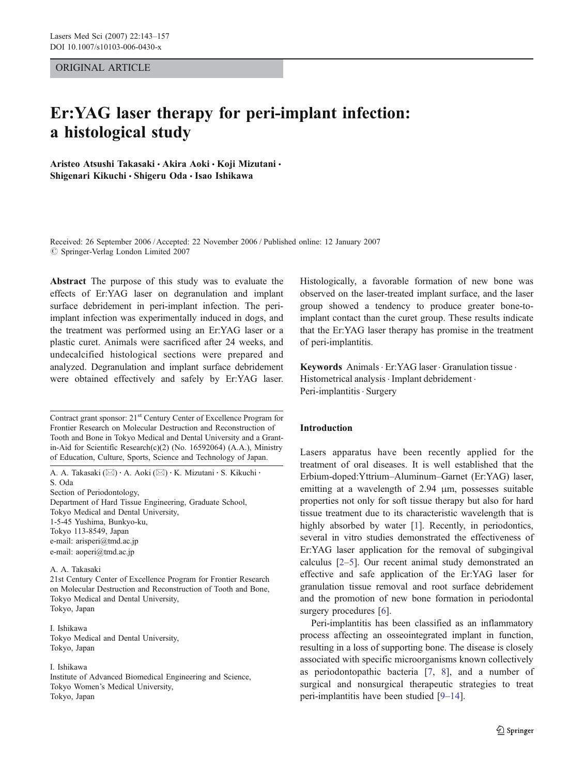## ORIGINAL ARTICLE

# Er:YAG laser therapy for peri-implant infection: a histological study

Aristeo Atsushi Takasaki · Akira Aoki · Koji Mizutani · Shigenari Kikuchi · Shigeru Oda · Isao Ishikawa

Received: 26 September 2006 /Accepted: 22 November 2006 / Published online: 12 January 2007  $\oslash$  Springer-Verlag London Limited 2007

Abstract The purpose of this study was to evaluate the effects of Er:YAG laser on degranulation and implant surface debridement in peri-implant infection. The periimplant infection was experimentally induced in dogs, and the treatment was performed using an Er:YAG laser or a plastic curet. Animals were sacrificed after 24 weeks, and undecalcified histological sections were prepared and analyzed. Degranulation and implant surface debridement were obtained effectively and safely by Er:YAG laser.

A. A. Takasaki (⊠) · A. Aoki (⊠) · K. Mizutani · S. Kikuchi · S. Oda Section of Periodontology, Department of Hard Tissue Engineering, Graduate School,

Tokyo Medical and Dental University, 1-5-45 Yushima, Bunkyo-ku, Tokyo 113-8549, Japan e-mail: arisperi@tmd.ac.jp e-mail: aoperi@tmd.ac.jp

#### A. A. Takasaki

21st Century Center of Excellence Program for Frontier Research on Molecular Destruction and Reconstruction of Tooth and Bone, Tokyo Medical and Dental University, Tokyo, Japan

I. Ishikawa Tokyo Medical and Dental University, Tokyo, Japan

I. Ishikawa

Institute of Advanced Biomedical Engineering and Science, Tokyo Women's Medical University, Tokyo, Japan

Histologically, a favorable formation of new bone was observed on the laser-treated implant surface, and the laser group showed a tendency to produce greater bone-toimplant contact than the curet group. These results indicate that the Er:YAG laser therapy has promise in the treatment of peri-implantitis.

Keywords Animals · Er: YAG laser · Granulation tissue · Histometrical analysis. Implant debridement . Peri-implantitis · Surgery

# Introduction

Lasers apparatus have been recently applied for the treatment of oral diseases. It is well established that the Erbium-doped:Yttrium–Aluminum–Garnet (Er:YAG) laser, emitting at a wavelength of 2.94 μm, possesses suitable properties not only for soft tissue therapy but also for hard tissue treatment due to its characteristic wavelength that is highly absorbed by water [\[1](#page-13-0)]. Recently, in periodontics, several in vitro studies demonstrated the effectiveness of Er:YAG laser application for the removal of subgingival calculus [\[2](#page-13-0)–[5](#page-13-0)]. Our recent animal study demonstrated an effective and safe application of the Er:YAG laser for granulation tissue removal and root surface debridement and the promotion of new bone formation in periodontal surgery procedures [[6\]](#page-13-0).

Peri-implantitis has been classified as an inflammatory process affecting an osseointegrated implant in function, resulting in a loss of supporting bone. The disease is closely associated with specific microorganisms known collectively as periodontopathic bacteria [\[7](#page-13-0), [8](#page-13-0)], and a number of surgical and nonsurgical therapeutic strategies to treat peri-implantitis have been studied [\[9](#page-13-0)–[14](#page-13-0)].

Contract grant sponsor: 21<sup>st</sup> Century Center of Excellence Program for Frontier Research on Molecular Destruction and Reconstruction of Tooth and Bone in Tokyo Medical and Dental University and a Grantin-Aid for Scientific Research(c)(2) (No. 16592064) (A.A.), Ministry of Education, Culture, Sports, Science and Technology of Japan.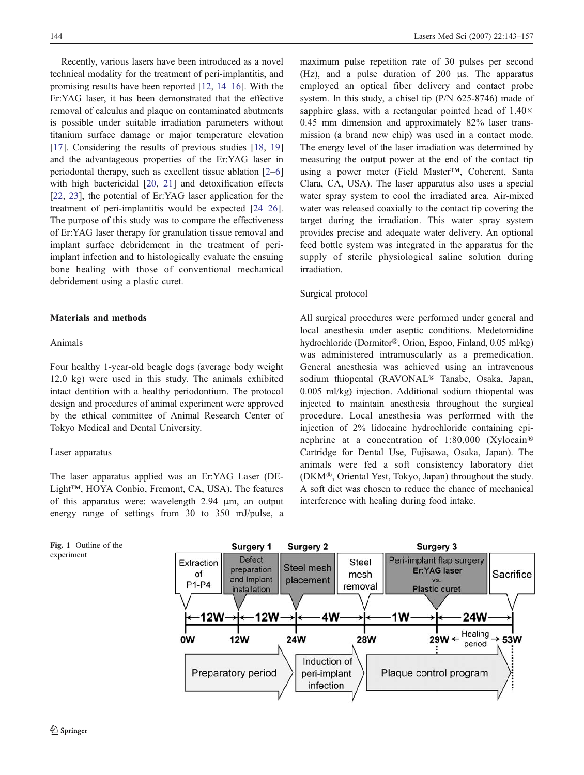<span id="page-1-0"></span>Recently, various lasers have been introduced as a novel technical modality for the treatment of peri-implantitis, and promising results have been reported [\[12](#page-13-0), [14](#page-13-0)–[16\]](#page-13-0). With the Er:YAG laser, it has been demonstrated that the effective removal of calculus and plaque on contaminated abutments is possible under suitable irradiation parameters without titanium surface damage or major temperature elevation [\[17](#page-13-0)]. Considering the results of previous studies [\[18](#page-13-0), [19\]](#page-13-0) and the advantageous properties of the Er:YAG laser in periodontal therapy, such as excellent tissue ablation [[2](#page-13-0)–[6\]](#page-13-0) with high bactericidal [\[20](#page-13-0), [21\]](#page-13-0) and detoxification effects [\[22](#page-13-0), [23](#page-13-0)], the potential of Er:YAG laser application for the treatment of peri-implantitis would be expected [\[24](#page-13-0)–[26](#page-13-0)]. The purpose of this study was to compare the effectiveness of Er:YAG laser therapy for granulation tissue removal and implant surface debridement in the treatment of periimplant infection and to histologically evaluate the ensuing bone healing with those of conventional mechanical debridement using a plastic curet.

## Materials and methods

## Animals

Four healthy 1-year-old beagle dogs (average body weight 12.0 kg) were used in this study. The animals exhibited intact dentition with a healthy periodontium. The protocol design and procedures of animal experiment were approved by the ethical committee of Animal Research Center of Tokyo Medical and Dental University.

## Laser apparatus

The laser apparatus applied was an Er:YAG Laser (DE-Light™, HOYA Conbio, Fremont, CA, USA). The features of this apparatus were: wavelength 2.94 μm, an output energy range of settings from 30 to 350 mJ/pulse, a

maximum pulse repetition rate of 30 pulses per second (Hz), and a pulse duration of 200 μs. The apparatus employed an optical fiber delivery and contact probe system. In this study, a chisel tip (P/N 625-8746) made of sapphire glass, with a rectangular pointed head of  $1.40\times$ 0.45 mm dimension and approximately 82% laser transmission (a brand new chip) was used in a contact mode. The energy level of the laser irradiation was determined by measuring the output power at the end of the contact tip using a power meter (Field Master™, Coherent, Santa Clara, CA, USA). The laser apparatus also uses a special water spray system to cool the irradiated area. Air-mixed water was released coaxially to the contact tip covering the target during the irradiation. This water spray system provides precise and adequate water delivery. An optional feed bottle system was integrated in the apparatus for the supply of sterile physiological saline solution during irradiation.

#### Surgical protocol

All surgical procedures were performed under general and local anesthesia under aseptic conditions. Medetomidine hydrochloride (Dormitor®, Orion, Espoo, Finland, 0.05 ml/kg) was administered intramuscularly as a premedication. General anesthesia was achieved using an intravenous sodium thiopental (RAVONAL® Tanabe, Osaka, Japan, 0.005 ml/kg) injection. Additional sodium thiopental was injected to maintain anesthesia throughout the surgical procedure. Local anesthesia was performed with the injection of 2% lidocaine hydrochloride containing epinephrine at a concentration of 1:80,000 (Xylocain® Cartridge for Dental Use, Fujisawa, Osaka, Japan). The animals were fed a soft consistency laboratory diet (DKM®, Oriental Yest, Tokyo, Japan) throughout the study. A soft diet was chosen to reduce the chance of mechanical interference with healing during food intake.



Fig. 1 Outline of the experiment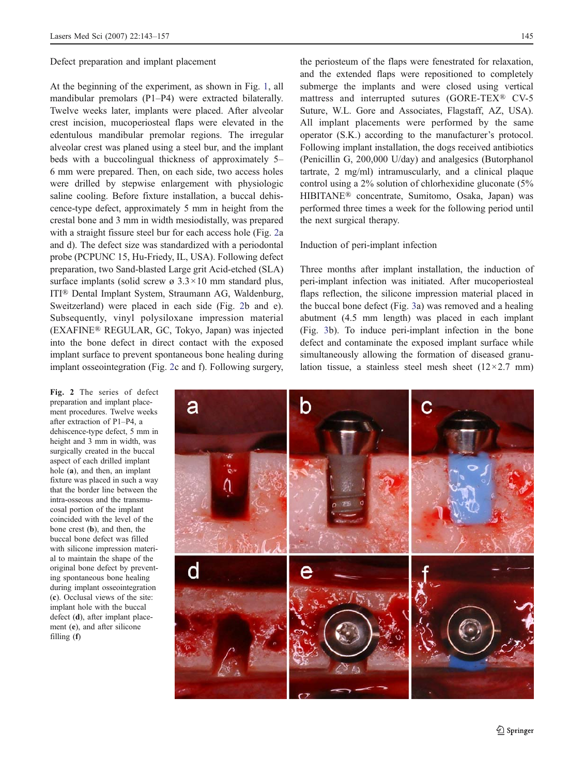#### Defect preparation and implant placement

At the beginning of the experiment, as shown in Fig. [1,](#page-1-0) all mandibular premolars (P1–P4) were extracted bilaterally. Twelve weeks later, implants were placed. After alveolar crest incision, mucoperiosteal flaps were elevated in the edentulous mandibular premolar regions. The irregular alveolar crest was planed using a steel bur, and the implant beds with a buccolingual thickness of approximately 5– 6 mm were prepared. Then, on each side, two access holes were drilled by stepwise enlargement with physiologic saline cooling. Before fixture installation, a buccal dehiscence-type defect, approximately 5 mm in height from the crestal bone and 3 mm in width mesiodistally, was prepared with a straight fissure steel bur for each access hole (Fig. 2a and d). The defect size was standardized with a periodontal probe (PCPUNC 15, Hu-Friedy, IL, USA). Following defect preparation, two Sand-blasted Large grit Acid-etched (SLA) surface implants (solid screw  $\varnothing$  3.3 × 10 mm standard plus, ITI® Dental Implant System, Straumann AG, Waldenburg, Sweitzerland) were placed in each side (Fig. 2b and e). Subsequently, vinyl polysiloxane impression material (EXAFINE® REGULAR, GC, Tokyo, Japan) was injected into the bone defect in direct contact with the exposed implant surface to prevent spontaneous bone healing during implant osseointegration (Fig. 2c and f). Following surgery,

the periosteum of the flaps were fenestrated for relaxation, and the extended flaps were repositioned to completely submerge the implants and were closed using vertical mattress and interrupted sutures (GORE-TEX® CV-5 Suture, W.L. Gore and Associates, Flagstaff, AZ, USA). All implant placements were performed by the same operator (S.K.) according to the manufacturer's protocol. Following implant installation, the dogs received antibiotics (Penicillin G, 200,000 U/day) and analgesics (Butorphanol tartrate, 2 mg/ml) intramuscularly, and a clinical plaque control using a 2% solution of chlorhexidine gluconate (5% HIBITANE® concentrate, Sumitomo, Osaka, Japan) was performed three times a week for the following period until the next surgical therapy.

# Induction of peri-implant infection

Three months after implant installation, the induction of peri-implant infection was initiated. After mucoperiosteal flaps reflection, the silicone impression material placed in the buccal bone defect (Fig. [3](#page-3-0)a) was removed and a healing abutment (4.5 mm length) was placed in each implant (Fig. [3b](#page-3-0)). To induce peri-implant infection in the bone defect and contaminate the exposed implant surface while simultaneously allowing the formation of diseased granulation tissue, a stainless steel mesh sheet  $(12 \times 2.7 \text{ mm})$ 



Fig. 2 The series of defect preparation and implant placement procedures. Twelve weeks after extraction of P1–P4, a dehiscence-type defect, 5 mm in height and 3 mm in width, was surgically created in the buccal aspect of each drilled implant hole (a), and then, an implant fixture was placed in such a way that the border line between the intra-osseous and the transmucosal portion of the implant coincided with the level of the bone crest (b), and then, the buccal bone defect was filled with silicone impression material to maintain the shape of the original bone defect by preventing spontaneous bone healing during implant osseointegration (c). Occlusal views of the site: implant hole with the buccal defect (d), after implant placement (e), and after silicone filling (f)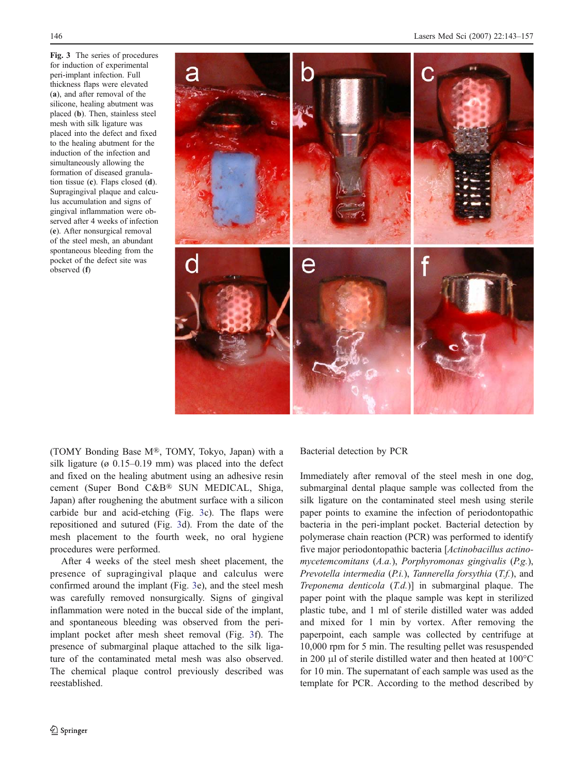<span id="page-3-0"></span>Fig. 3 The series of procedures for induction of experimental peri-implant infection. Full thickness flaps were elevated (a), and after removal of the silicone, healing abutment was placed (b). Then, stainless steel mesh with silk ligature was placed into the defect and fixed to the healing abutment for the induction of the infection and simultaneously allowing the formation of diseased granulation tissue (c). Flaps closed (d). Supragingival plaque and calculus accumulation and signs of gingival inflammation were observed after 4 weeks of infection (e). After nonsurgical removal of the steel mesh, an abundant spontaneous bleeding from the pocket of the defect site was observed (f)



(TOMY Bonding Base M®, TOMY, Tokyo, Japan) with a silk ligature ( $\sigma$  0.15–0.19 mm) was placed into the defect and fixed on the healing abutment using an adhesive resin cement (Super Bond C&B® SUN MEDICAL, Shiga, Japan) after roughening the abutment surface with a silicon carbide bur and acid-etching (Fig. 3c). The flaps were repositioned and sutured (Fig. 3d). From the date of the mesh placement to the fourth week, no oral hygiene procedures were performed.

After 4 weeks of the steel mesh sheet placement, the presence of supragingival plaque and calculus were confirmed around the implant (Fig. 3e), and the steel mesh was carefully removed nonsurgically. Signs of gingival inflammation were noted in the buccal side of the implant, and spontaneous bleeding was observed from the periimplant pocket after mesh sheet removal (Fig. 3f). The presence of submarginal plaque attached to the silk ligature of the contaminated metal mesh was also observed. The chemical plaque control previously described was reestablished.

Bacterial detection by PCR

Immediately after removal of the steel mesh in one dog, submarginal dental plaque sample was collected from the silk ligature on the contaminated steel mesh using sterile paper points to examine the infection of periodontopathic bacteria in the peri-implant pocket. Bacterial detection by polymerase chain reaction (PCR) was performed to identify five major periodontopathic bacteria [Actinobacillus actinomycetemcomitans (A.a.), Porphyromonas gingivalis (P.g.), Prevotella intermedia (P.i.), Tannerella forsythia (T.f.), and Treponema denticola  $(T.d.)$ ] in submarginal plaque. The paper point with the plaque sample was kept in sterilized plastic tube, and 1 ml of sterile distilled water was added and mixed for 1 min by vortex. After removing the paperpoint, each sample was collected by centrifuge at 10,000 rpm for 5 min. The resulting pellet was resuspended in 200 μl of sterile distilled water and then heated at 100°C for 10 min. The supernatant of each sample was used as the template for PCR. According to the method described by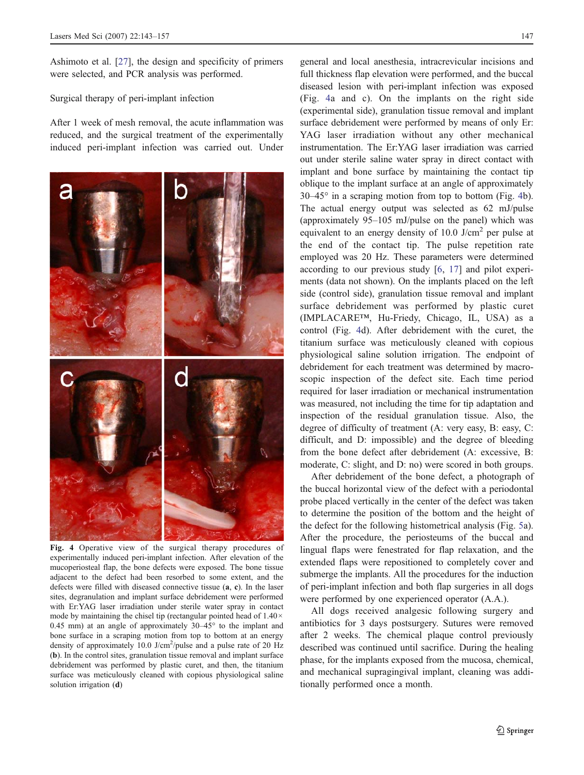Ashimoto et al. [[27\]](#page-13-0), the design and specificity of primers were selected, and PCR analysis was performed.

# Surgical therapy of peri-implant infection

After 1 week of mesh removal, the acute inflammation was reduced, and the surgical treatment of the experimentally induced peri-implant infection was carried out. Under



Fig. 4 Operative view of the surgical therapy procedures of experimentally induced peri-implant infection. After elevation of the mucoperiosteal flap, the bone defects were exposed. The bone tissue adjacent to the defect had been resorbed to some extent, and the defects were filled with diseased connective tissue (a, c). In the laser sites, degranulation and implant surface debridement were performed with Er:YAG laser irradiation under sterile water spray in contact mode by maintaining the chisel tip (rectangular pointed head of  $1.40 \times$ 0.45 mm) at an angle of approximately 30–45° to the implant and bone surface in a scraping motion from top to bottom at an energy density of approximately 10.0 J/cm<sup>2</sup>/pulse and a pulse rate of 20 Hz (b). In the control sites, granulation tissue removal and implant surface debridement was performed by plastic curet, and then, the titanium surface was meticulously cleaned with copious physiological saline solution irrigation (d)

general and local anesthesia, intracrevicular incisions and full thickness flap elevation were performed, and the buccal diseased lesion with peri-implant infection was exposed (Fig. 4a and c). On the implants on the right side (experimental side), granulation tissue removal and implant surface debridement were performed by means of only Er: YAG laser irradiation without any other mechanical instrumentation. The Er:YAG laser irradiation was carried out under sterile saline water spray in direct contact with implant and bone surface by maintaining the contact tip oblique to the implant surface at an angle of approximately 30–45° in a scraping motion from top to bottom (Fig. 4b). The actual energy output was selected as 62 mJ/pulse (approximately 95–105 mJ/pulse on the panel) which was equivalent to an energy density of 10.0 J/cm<sup>2</sup> per pulse at the end of the contact tip. The pulse repetition rate employed was 20 Hz. These parameters were determined according to our previous study [\[6](#page-13-0), [17\]](#page-13-0) and pilot experiments (data not shown). On the implants placed on the left side (control side), granulation tissue removal and implant surface debridement was performed by plastic curet (IMPLACARE™, Hu-Friedy, Chicago, IL, USA) as a control (Fig. 4d). After debridement with the curet, the titanium surface was meticulously cleaned with copious physiological saline solution irrigation. The endpoint of debridement for each treatment was determined by macroscopic inspection of the defect site. Each time period required for laser irradiation or mechanical instrumentation was measured, not including the time for tip adaptation and inspection of the residual granulation tissue. Also, the degree of difficulty of treatment (A: very easy, B: easy, C: difficult, and D: impossible) and the degree of bleeding from the bone defect after debridement (A: excessive, B: moderate, C: slight, and D: no) were scored in both groups.

After debridement of the bone defect, a photograph of the buccal horizontal view of the defect with a periodontal probe placed vertically in the center of the defect was taken to determine the position of the bottom and the height of the defect for the following histometrical analysis (Fig. [5](#page-5-0)a). After the procedure, the periosteums of the buccal and lingual flaps were fenestrated for flap relaxation, and the extended flaps were repositioned to completely cover and submerge the implants. All the procedures for the induction of peri-implant infection and both flap surgeries in all dogs were performed by one experienced operator (A.A.).

All dogs received analgesic following surgery and antibiotics for 3 days postsurgery. Sutures were removed after 2 weeks. The chemical plaque control previously described was continued until sacrifice. During the healing phase, for the implants exposed from the mucosa, chemical, and mechanical supragingival implant, cleaning was additionally performed once a month.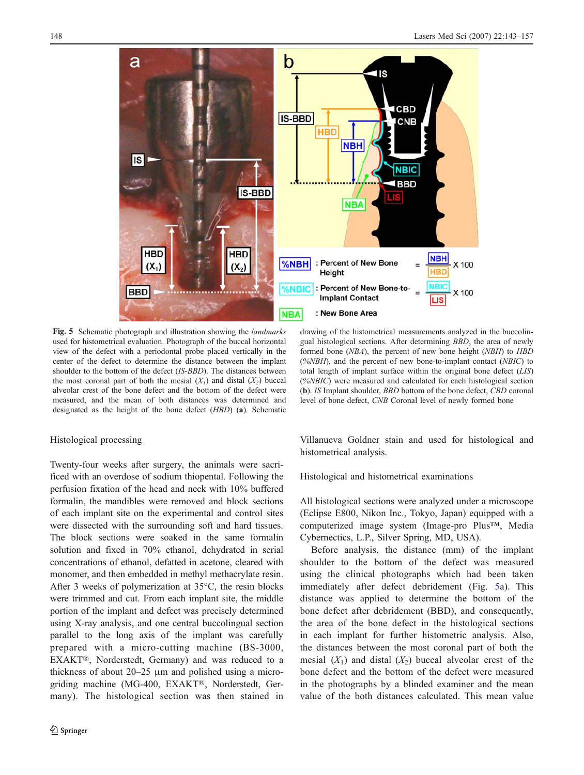<span id="page-5-0"></span>

Fig. 5 Schematic photograph and illustration showing the landmarks used for histometrical evaluation. Photograph of the buccal horizontal view of the defect with a periodontal probe placed vertically in the center of the defect to determine the distance between the implant shoulder to the bottom of the defect (IS-BBD). The distances between the most coronal part of both the mesial  $(X<sub>1</sub>)$  and distal  $(X<sub>2</sub>)$  buccal alveolar crest of the bone defect and the bottom of the defect were measured, and the mean of both distances was determined and designated as the height of the bone defect (HBD) (a). Schematic

## Histological processing

Twenty-four weeks after surgery, the animals were sacrificed with an overdose of sodium thiopental. Following the perfusion fixation of the head and neck with 10% buffered formalin, the mandibles were removed and block sections of each implant site on the experimental and control sites were dissected with the surrounding soft and hard tissues. The block sections were soaked in the same formalin solution and fixed in 70% ethanol, dehydrated in serial concentrations of ethanol, defatted in acetone, cleared with monomer, and then embedded in methyl methacrylate resin. After 3 weeks of polymerization at 35°C, the resin blocks were trimmed and cut. From each implant site, the middle portion of the implant and defect was precisely determined using X-ray analysis, and one central buccolingual section parallel to the long axis of the implant was carefully prepared with a micro-cutting machine (BS-3000, EXAKT®, Norderstedt, Germany) and was reduced to a thickness of about 20–25 μm and polished using a microgriding machine (MG-400, EXAKT®, Norderstedt, Germany). The histological section was then stained in

drawing of the histometrical measurements analyzed in the buccolingual histological sections. After determining BBD, the area of newly formed bone (NBA), the percent of new bone height (NBH) to HBD  $(\frac{\%}{\%}NBH)$ , and the percent of new bone-to-implant contact (NBIC) to total length of implant surface within the original bone defect (LIS) (%NBIC) were measured and calculated for each histological section (b). IS Implant shoulder, BBD bottom of the bone defect, CBD coronal level of bone defect, CNB Coronal level of newly formed bone

Villanueva Goldner stain and used for histological and histometrical analysis.

Histological and histometrical examinations

All histological sections were analyzed under a microscope (Eclipse E800, Nikon Inc., Tokyo, Japan) equipped with a computerized image system (Image-pro Plus™, Media Cybernectics, L.P., Silver Spring, MD, USA).

Before analysis, the distance (mm) of the implant shoulder to the bottom of the defect was measured using the clinical photographs which had been taken immediately after defect debridement (Fig. 5a). This distance was applied to determine the bottom of the bone defect after debridement (BBD), and consequently, the area of the bone defect in the histological sections in each implant for further histometric analysis. Also, the distances between the most coronal part of both the mesial  $(X_1)$  and distal  $(X_2)$  buccal alveolar crest of the bone defect and the bottom of the defect were measured in the photographs by a blinded examiner and the mean value of the both distances calculated. This mean value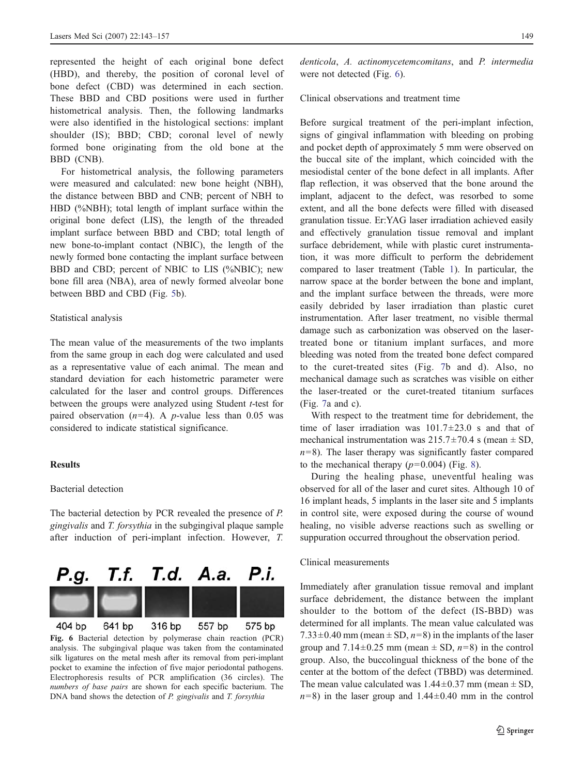represented the height of each original bone defect (HBD), and thereby, the position of coronal level of bone defect (CBD) was determined in each section. These BBD and CBD positions were used in further histometrical analysis. Then, the following landmarks were also identified in the histological sections: implant shoulder (IS); BBD; CBD; coronal level of newly formed bone originating from the old bone at the BBD (CNB).

For histometrical analysis, the following parameters were measured and calculated: new bone height (NBH), the distance between BBD and CNB; percent of NBH to HBD (%NBH); total length of implant surface within the original bone defect (LIS), the length of the threaded implant surface between BBD and CBD; total length of new bone-to-implant contact (NBIC), the length of the newly formed bone contacting the implant surface between BBD and CBD; percent of NBIC to LIS (%NBIC); new bone fill area (NBA), area of newly formed alveolar bone between BBD and CBD (Fig. [5b](#page-5-0)).

#### Statistical analysis

The mean value of the measurements of the two implants from the same group in each dog were calculated and used as a representative value of each animal. The mean and standard deviation for each histometric parameter were calculated for the laser and control groups. Differences between the groups were analyzed using Student *t*-test for paired observation  $(n=4)$ . A *p*-value less than 0.05 was considered to indicate statistical significance.

# **Results**

### Bacterial detection

The bacterial detection by PCR revealed the presence of P. gingivalis and T. forsythia in the subgingival plaque sample after induction of peri-implant infection. However, T.



Fig. 6 Bacterial detection by polymerase chain reaction (PCR) analysis. The subgingival plaque was taken from the contaminated silk ligatures on the metal mesh after its removal from peri-implant pocket to examine the infection of five major periodontal pathogens. Electrophoresis results of PCR amplification (36 circles). The numbers of base pairs are shown for each specific bacterium. The DNA band shows the detection of P. gingivalis and T. forsythia

denticola, A. actinomycetemcomitans, and P. intermedia were not detected (Fig. 6).

Clinical observations and treatment time

Before surgical treatment of the peri-implant infection, signs of gingival inflammation with bleeding on probing and pocket depth of approximately 5 mm were observed on the buccal site of the implant, which coincided with the mesiodistal center of the bone defect in all implants. After flap reflection, it was observed that the bone around the implant, adjacent to the defect, was resorbed to some extent, and all the bone defects were filled with diseased granulation tissue. Er:YAG laser irradiation achieved easily and effectively granulation tissue removal and implant surface debridement, while with plastic curet instrumentation, it was more difficult to perform the debridement compared to laser treatment (Table [1](#page-7-0)). In particular, the narrow space at the border between the bone and implant, and the implant surface between the threads, were more easily debrided by laser irradiation than plastic curet instrumentation. After laser treatment, no visible thermal damage such as carbonization was observed on the lasertreated bone or titanium implant surfaces, and more bleeding was noted from the treated bone defect compared to the curet-treated sites (Fig. [7b](#page-7-0) and d). Also, no mechanical damage such as scratches was visible on either the laser-treated or the curet-treated titanium surfaces (Fig. [7](#page-7-0)a and c).

With respect to the treatment time for debridement, the time of laser irradiation was  $101.7 \pm 23.0$  s and that of mechanical instrumentation was  $215.7\pm70.4$  s (mean  $\pm$  SD,  $n=8$ ). The laser therapy was significantly faster compared to the mechanical therapy  $(p=0.004)$  (Fig. [8](#page-7-0)).

During the healing phase, uneventful healing was observed for all of the laser and curet sites. Although 10 of 16 implant heads, 5 implants in the laser site and 5 implants in control site, were exposed during the course of wound healing, no visible adverse reactions such as swelling or suppuration occurred throughout the observation period.

### Clinical measurements

Immediately after granulation tissue removal and implant surface debridement, the distance between the implant shoulder to the bottom of the defect (IS-BBD) was determined for all implants. The mean value calculated was  $7.33\pm0.40$  mm (mean  $\pm$  SD,  $n=8$ ) in the implants of the laser group and  $7.14\pm0.25$  mm (mean  $\pm$  SD,  $n=8$ ) in the control group. Also, the buccolingual thickness of the bone of the center at the bottom of the defect (TBBD) was determined. The mean value calculated was  $1.44 \pm 0.37$  mm (mean  $\pm$  SD,  $n=8$ ) in the laser group and 1.44 $\pm$ 0.40 mm in the control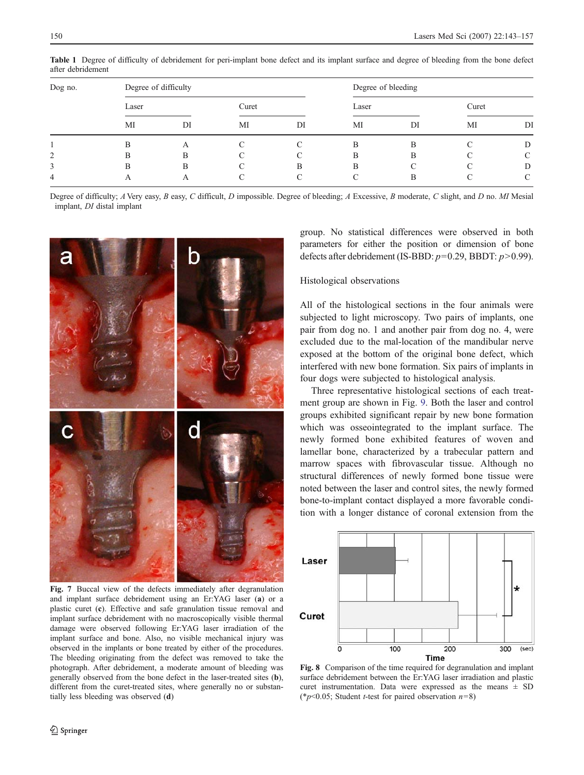| Dog no. | Degree of difficulty |    |       |    | Degree of bleeding |    |       |    |
|---------|----------------------|----|-------|----|--------------------|----|-------|----|
|         | Laser                |    | Curet |    | Laser              |    | Curet |    |
|         | MI                   | DI | MI    | DI | МI                 | DI | MI    | DI |
|         | в                    | А  |       |    | B                  | B  |       | D  |
| 2       | в                    | В  |       |    | B                  | В  |       | С  |
| 3       | B                    | B  |       | B  | B                  | C  |       | D  |
| 4       | А                    | А  |       |    |                    | В  |       | С  |

<span id="page-7-0"></span>Table 1 Degree of difficulty of debridement for peri-implant bone defect and its implant surface and degree of bleeding from the bone defect after debridement

Degree of difficulty; A Very easy, B easy, C difficult, D impossible. Degree of bleeding; A Excessive, B moderate, C slight, and D no. MI Mesial implant, DI distal implant



Fig. 7 Buccal view of the defects immediately after degranulation and implant surface debridement using an Er:YAG laser (a) or a plastic curet (c). Effective and safe granulation tissue removal and implant surface debridement with no macroscopically visible thermal damage were observed following Er:YAG laser irradiation of the implant surface and bone. Also, no visible mechanical injury was observed in the implants or bone treated by either of the procedures. The bleeding originating from the defect was removed to take the photograph. After debridement, a moderate amount of bleeding was generally observed from the bone defect in the laser-treated sites (b), different from the curet-treated sites, where generally no or substantially less bleeding was observed (d)

group. No statistical differences were observed in both parameters for either the position or dimension of bone defects after debridement (IS-BBD:  $p=0.29$ , BBDT:  $p>0.99$ ).

#### Histological observations

All of the histological sections in the four animals were subjected to light microscopy. Two pairs of implants, one pair from dog no. 1 and another pair from dog no. 4, were excluded due to the mal-location of the mandibular nerve exposed at the bottom of the original bone defect, which interfered with new bone formation. Six pairs of implants in four dogs were subjected to histological analysis.

Three representative histological sections of each treatment group are shown in Fig. [9](#page-8-0). Both the laser and control groups exhibited significant repair by new bone formation which was osseointegrated to the implant surface. The newly formed bone exhibited features of woven and lamellar bone, characterized by a trabecular pattern and marrow spaces with fibrovascular tissue. Although no structural differences of newly formed bone tissue were noted between the laser and control sites, the newly formed bone-to-implant contact displayed a more favorable condition with a longer distance of coronal extension from the



Fig. 8 Comparison of the time required for degranulation and implant surface debridement between the Er:YAG laser irradiation and plastic curet instrumentation. Data were expressed as the means  $\pm$  SD (\* $p$ <0.05; Student *t*-test for paired observation  $n=8$ )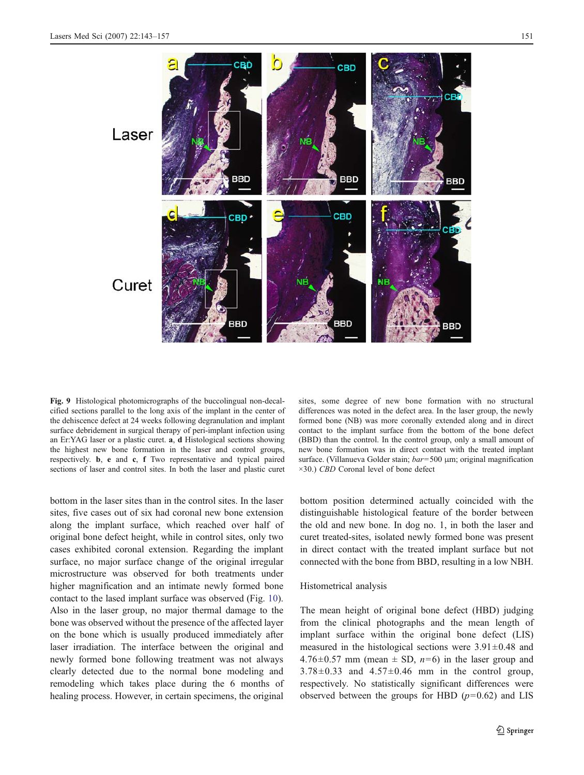<span id="page-8-0"></span>

Fig. 9 Histological photomicrographs of the buccolingual non-decalcified sections parallel to the long axis of the implant in the center of the dehiscence defect at 24 weeks following degranulation and implant surface debridement in surgical therapy of peri-implant infection using an Er:YAG laser or a plastic curet. a, d Histological sections showing the highest new bone formation in the laser and control groups, respectively. b, e and c, f Two representative and typical paired sections of laser and control sites. In both the laser and plastic curet

bottom in the laser sites than in the control sites. In the laser sites, five cases out of six had coronal new bone extension along the implant surface, which reached over half of original bone defect height, while in control sites, only two cases exhibited coronal extension. Regarding the implant surface, no major surface change of the original irregular microstructure was observed for both treatments under higher magnification and an intimate newly formed bone contact to the lased implant surface was observed (Fig. [10](#page-9-0)). Also in the laser group, no major thermal damage to the bone was observed without the presence of the affected layer on the bone which is usually produced immediately after laser irradiation. The interface between the original and newly formed bone following treatment was not always clearly detected due to the normal bone modeling and remodeling which takes place during the 6 months of healing process. However, in certain specimens, the original

sites, some degree of new bone formation with no structural differences was noted in the defect area. In the laser group, the newly formed bone (NB) was more coronally extended along and in direct contact to the implant surface from the bottom of the bone defect (BBD) than the control. In the control group, only a small amount of new bone formation was in direct contact with the treated implant surface. (Villanueva Golder stain; bar=500 μm; original magnification ×30.) CBD Coronal level of bone defect

bottom position determined actually coincided with the distinguishable histological feature of the border between the old and new bone. In dog no. 1, in both the laser and curet treated-sites, isolated newly formed bone was present in direct contact with the treated implant surface but not connected with the bone from BBD, resulting in a low NBH.

### Histometrical analysis

The mean height of original bone defect (HBD) judging from the clinical photographs and the mean length of implant surface within the original bone defect (LIS) measured in the histological sections were  $3.91 \pm 0.48$  and  $4.76\pm0.57$  mm (mean  $\pm$  SD,  $n=6$ ) in the laser group and  $3.78\pm0.33$  and  $4.57\pm0.46$  mm in the control group, respectively. No statistically significant differences were observed between the groups for HBD  $(p=0.62)$  and LIS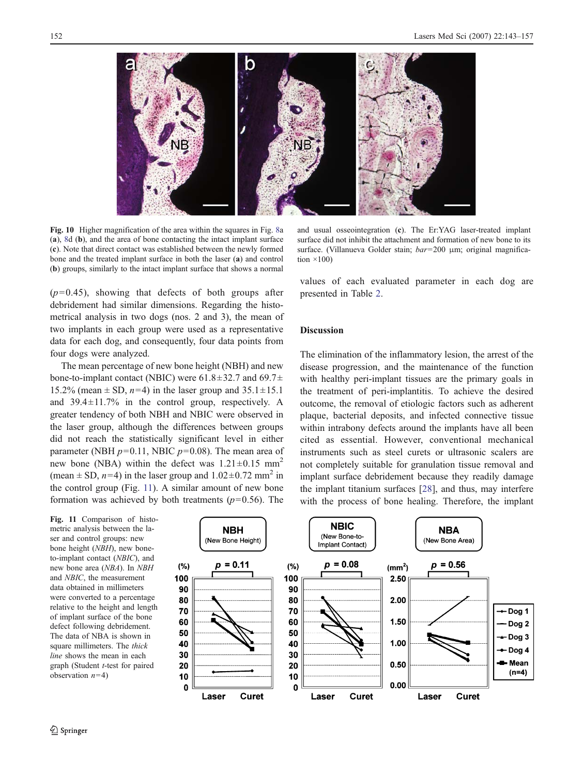<span id="page-9-0"></span>

Fig. 10 Higher magnification of the area within the squares in Fig. [8](#page-7-0)a (a), [8d](#page-7-0) (b), and the area of bone contacting the intact implant surface (c). Note that direct contact was established between the newly formed bone and the treated implant surface in both the laser (a) and control (b) groups, similarly to the intact implant surface that shows a normal

and usual osseointegration (c). The Er:YAG laser-treated implant surface did not inhibit the attachment and formation of new bone to its surface. (Villanueva Golder stain; bar=200 μm; original magnifica $tion \times 100$ 

 $(p=0.45)$ , showing that defects of both groups after debridement had similar dimensions. Regarding the histometrical analysis in two dogs (nos. 2 and 3), the mean of two implants in each group were used as a representative data for each dog, and consequently, four data points from four dogs were analyzed.

The mean percentage of new bone height (NBH) and new bone-to-implant contact (NBIC) were  $61.8 \pm 32.7$  and  $69.7 \pm$ 15.2% (mean  $\pm$  SD, *n*=4) in the laser group and 35.1 $\pm$ 15.1 and  $39.4 \pm 11.7\%$  in the control group, respectively. A greater tendency of both NBH and NBIC were observed in the laser group, although the differences between groups did not reach the statistically significant level in either parameter (NBH  $p=0.11$ , NBIC  $p=0.08$ ). The mean area of new bone (NBA) within the defect was  $1.21 \pm 0.15$  mm<sup>2</sup> (mean  $\pm$  SD, n=4) in the laser group and 1.02 $\pm$ 0.72 mm<sup>2</sup> in the control group (Fig. 11). A similar amount of new bone formation was achieved by both treatments ( $p=0.56$ ). The

Fig. 11 Comparison of histometric analysis between the laser and control groups: new bone height (NBH), new boneto-implant contact (NBIC), and new bone area (NBA). In NBH and NBIC, the measurement data obtained in millimeters were converted to a percentage relative to the height and length of implant surface of the bone defect following debridement. The data of NBA is shown in square millimeters. The thick line shows the mean in each graph (Student t-test for paired observation  $n=4$ )

values of each evaluated parameter in each dog are

#### Discussion

presented in Table [2](#page-10-0).

The elimination of the inflammatory lesion, the arrest of the disease progression, and the maintenance of the function with healthy peri-implant tissues are the primary goals in the treatment of peri-implantitis. To achieve the desired outcome, the removal of etiologic factors such as adherent plaque, bacterial deposits, and infected connective tissue within intrabony defects around the implants have all been cited as essential. However, conventional mechanical instruments such as steel curets or ultrasonic scalers are not completely suitable for granulation tissue removal and implant surface debridement because they readily damage the implant titanium surfaces [[28\]](#page-13-0), and thus, may interfere with the process of bone healing. Therefore, the implant

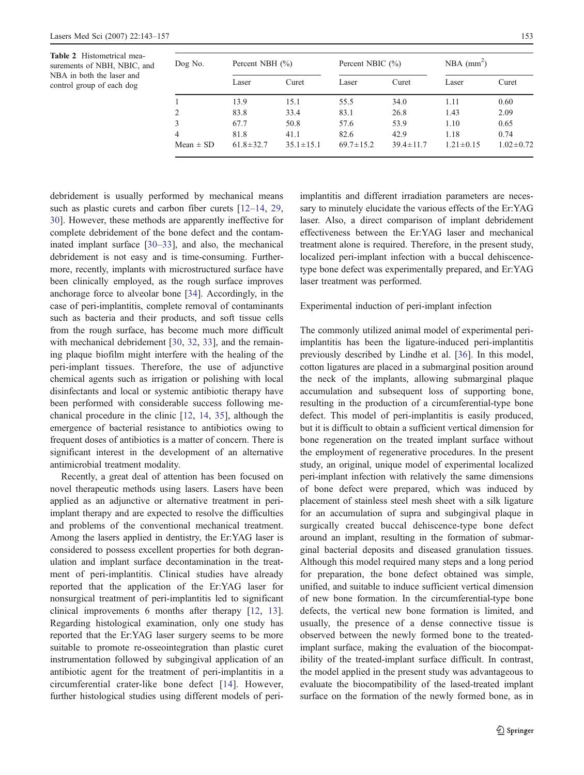<span id="page-10-0"></span>

| Dog No.        | Percent NBH $(\% )$ |                 | Percent NBIC $(\% )$ |                 | $NBA$ (mm <sup>2</sup> ) |                 |
|----------------|---------------------|-----------------|----------------------|-----------------|--------------------------|-----------------|
|                | Laser               | Curet           | Laser                | Curet           | Laser                    | Curet           |
|                | 13.9                | 15.1            | 55.5                 | 34.0            | 1.11                     | 0.60            |
| $\overline{c}$ | 83.8                | 33.4            | 83.1                 | 26.8            | 1.43                     | 2.09            |
| 3              | 67.7                | 50.8            | 57.6                 | 53.9            | 1.10                     | 0.65            |
| 4              | 81.8                | 41.1            | 82.6                 | 42.9            | 1.18                     | 0.74            |
| Mean $\pm$ SD  | $61.8 \pm 32.7$     | $35.1 \pm 15.1$ | $69.7 \pm 15.2$      | $39.4 \pm 11.7$ | $1.21 \pm 0.15$          | $1.02 \pm 0.72$ |

debridement is usually performed by mechanical means such as plastic curets and carbon fiber curets  $[12-14, 29, 12]$  $[12-14, 29, 12]$  $[12-14, 29, 12]$  $[12-14, 29, 12]$  $[12-14, 29, 12]$  $[12-14, 29, 12]$ [30](#page-13-0)]. However, these methods are apparently ineffective for complete debridement of the bone defect and the contaminated implant surface [[30](#page-13-0)–[33\]](#page-13-0), and also, the mechanical debridement is not easy and is time-consuming. Furthermore, recently, implants with microstructured surface have been clinically employed, as the rough surface improves anchorage force to alveolar bone [[34\]](#page-14-0). Accordingly, in the case of peri-implantitis, complete removal of contaminants such as bacteria and their products, and soft tissue cells from the rough surface, has become much more difficult with mechanical debridement [[30,](#page-13-0) [32](#page-13-0), [33\]](#page-13-0), and the remaining plaque biofilm might interfere with the healing of the peri-implant tissues. Therefore, the use of adjunctive chemical agents such as irrigation or polishing with local disinfectants and local or systemic antibiotic therapy have been performed with considerable success following mechanical procedure in the clinic [[12,](#page-13-0) [14,](#page-13-0) [35](#page-14-0)], although the emergence of bacterial resistance to antibiotics owing to frequent doses of antibiotics is a matter of concern. There is significant interest in the development of an alternative antimicrobial treatment modality.

Recently, a great deal of attention has been focused on novel therapeutic methods using lasers. Lasers have been applied as an adjunctive or alternative treatment in periimplant therapy and are expected to resolve the difficulties and problems of the conventional mechanical treatment. Among the lasers applied in dentistry, the Er:YAG laser is considered to possess excellent properties for both degranulation and implant surface decontamination in the treatment of peri-implantitis. Clinical studies have already reported that the application of the Er:YAG laser for nonsurgical treatment of peri-implantitis led to significant clinical improvements 6 months after therapy [\[12](#page-13-0), [13](#page-13-0)]. Regarding histological examination, only one study has reported that the Er:YAG laser surgery seems to be more suitable to promote re-osseointegration than plastic curet instrumentation followed by subgingival application of an antibiotic agent for the treatment of peri-implantitis in a circumferential crater-like bone defect [\[14\]](#page-13-0). However, further histological studies using different models of peri-

implantitis and different irradiation parameters are necessary to minutely elucidate the various effects of the Er:YAG laser. Also, a direct comparison of implant debridement effectiveness between the Er:YAG laser and mechanical treatment alone is required. Therefore, in the present study, localized peri-implant infection with a buccal dehiscencetype bone defect was experimentally prepared, and Er:YAG laser treatment was performed.

# Experimental induction of peri-implant infection

The commonly utilized animal model of experimental periimplantitis has been the ligature-induced peri-implantitis previously described by Lindhe et al. [\[36](#page-14-0)]. In this model, cotton ligatures are placed in a submarginal position around the neck of the implants, allowing submarginal plaque accumulation and subsequent loss of supporting bone, resulting in the production of a circumferential-type bone defect. This model of peri-implantitis is easily produced, but it is difficult to obtain a sufficient vertical dimension for bone regeneration on the treated implant surface without the employment of regenerative procedures. In the present study, an original, unique model of experimental localized peri-implant infection with relatively the same dimensions of bone defect were prepared, which was induced by placement of stainless steel mesh sheet with a silk ligature for an accumulation of supra and subgingival plaque in surgically created buccal dehiscence-type bone defect around an implant, resulting in the formation of submarginal bacterial deposits and diseased granulation tissues. Although this model required many steps and a long period for preparation, the bone defect obtained was simple, unified, and suitable to induce sufficient vertical dimension of new bone formation. In the circumferential-type bone defects, the vertical new bone formation is limited, and usually, the presence of a dense connective tissue is observed between the newly formed bone to the treatedimplant surface, making the evaluation of the biocompatibility of the treated-implant surface difficult. In contrast, the model applied in the present study was advantageous to evaluate the biocompatibility of the lased-treated implant surface on the formation of the newly formed bone, as in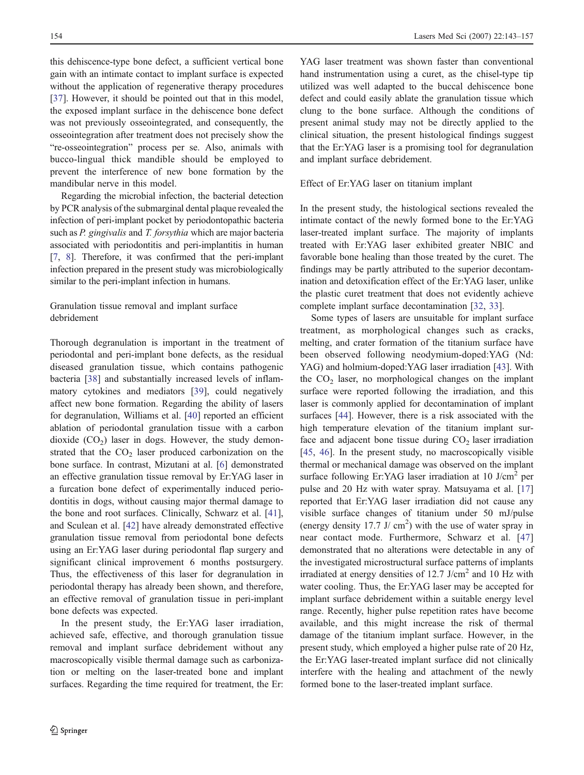this dehiscence-type bone defect, a sufficient vertical bone gain with an intimate contact to implant surface is expected without the application of regenerative therapy procedures [\[37](#page-14-0)]. However, it should be pointed out that in this model, the exposed implant surface in the dehiscence bone defect was not previously osseointegrated, and consequently, the osseointegration after treatment does not precisely show the "re-osseointegration" process per se. Also, animals with bucco-lingual thick mandible should be employed to prevent the interference of new bone formation by the mandibular nerve in this model.

Regarding the microbial infection, the bacterial detection by PCR analysis of the submarginal dental plaque revealed the infection of peri-implant pocket by periodontopathic bacteria such as P. gingivalis and T. forsythia which are major bacteria associated with periodontitis and peri-implantitis in human [\[7](#page-13-0), [8](#page-13-0)]. Therefore, it was confirmed that the peri-implant infection prepared in the present study was microbiologically similar to the peri-implant infection in humans.

# Granulation tissue removal and implant surface debridement

Thorough degranulation is important in the treatment of periodontal and peri-implant bone defects, as the residual diseased granulation tissue, which contains pathogenic bacteria [\[38](#page-14-0)] and substantially increased levels of inflammatory cytokines and mediators [[39\]](#page-14-0), could negatively affect new bone formation. Regarding the ability of lasers for degranulation, Williams et al. [\[40](#page-14-0)] reported an efficient ablation of periodontal granulation tissue with a carbon dioxide  $(CO<sub>2</sub>)$  laser in dogs. However, the study demonstrated that the  $CO<sub>2</sub>$  laser produced carbonization on the bone surface. In contrast, Mizutani at al. [\[6](#page-13-0)] demonstrated an effective granulation tissue removal by Er:YAG laser in a furcation bone defect of experimentally induced periodontitis in dogs, without causing major thermal damage to the bone and root surfaces. Clinically, Schwarz et al. [\[41](#page-14-0)], and Sculean et al. [[42\]](#page-14-0) have already demonstrated effective granulation tissue removal from periodontal bone defects using an Er:YAG laser during periodontal flap surgery and significant clinical improvement 6 months postsurgery. Thus, the effectiveness of this laser for degranulation in periodontal therapy has already been shown, and therefore, an effective removal of granulation tissue in peri-implant bone defects was expected.

In the present study, the Er:YAG laser irradiation, achieved safe, effective, and thorough granulation tissue removal and implant surface debridement without any macroscopically visible thermal damage such as carbonization or melting on the laser-treated bone and implant surfaces. Regarding the time required for treatment, the Er:

YAG laser treatment was shown faster than conventional hand instrumentation using a curet, as the chisel-type tip utilized was well adapted to the buccal dehiscence bone defect and could easily ablate the granulation tissue which clung to the bone surface. Although the conditions of present animal study may not be directly applied to the clinical situation, the present histological findings suggest that the Er:YAG laser is a promising tool for degranulation and implant surface debridement.

#### Effect of Er:YAG laser on titanium implant

In the present study, the histological sections revealed the intimate contact of the newly formed bone to the Er:YAG laser-treated implant surface. The majority of implants treated with Er:YAG laser exhibited greater NBIC and favorable bone healing than those treated by the curet. The findings may be partly attributed to the superior decontamination and detoxification effect of the Er:YAG laser, unlike the plastic curet treatment that does not evidently achieve complete implant surface decontamination [\[32](#page-13-0), [33\]](#page-13-0).

Some types of lasers are unsuitable for implant surface treatment, as morphological changes such as cracks, melting, and crater formation of the titanium surface have been observed following neodymium-doped:YAG (Nd: YAG) and holmium-doped: YAG laser irradiation [\[43](#page-14-0)]. With the  $CO<sub>2</sub>$  laser, no morphological changes on the implant surface were reported following the irradiation, and this laser is commonly applied for decontamination of implant surfaces [\[44](#page-14-0)]. However, there is a risk associated with the high temperature elevation of the titanium implant surface and adjacent bone tissue during  $CO<sub>2</sub>$  laser irradiation [\[45](#page-14-0), [46](#page-14-0)]. In the present study, no macroscopically visible thermal or mechanical damage was observed on the implant surface following Er:YAG laser irradiation at 10 J/cm<sup>2</sup> per pulse and 20 Hz with water spray. Matsuyama et al. [\[17](#page-13-0)] reported that Er:YAG laser irradiation did not cause any visible surface changes of titanium under 50 mJ/pulse (energy density  $17.7 \text{ J/cm}^2$ ) with the use of water spray in near contact mode. Furthermore, Schwarz et al. [[47](#page-14-0)] demonstrated that no alterations were detectable in any of the investigated microstructural surface patterns of implants irradiated at energy densities of  $12.7$  J/cm<sup>2</sup> and 10 Hz with water cooling. Thus, the Er:YAG laser may be accepted for implant surface debridement within a suitable energy level range. Recently, higher pulse repetition rates have become available, and this might increase the risk of thermal damage of the titanium implant surface. However, in the present study, which employed a higher pulse rate of 20 Hz, the Er:YAG laser-treated implant surface did not clinically interfere with the healing and attachment of the newly formed bone to the laser-treated implant surface.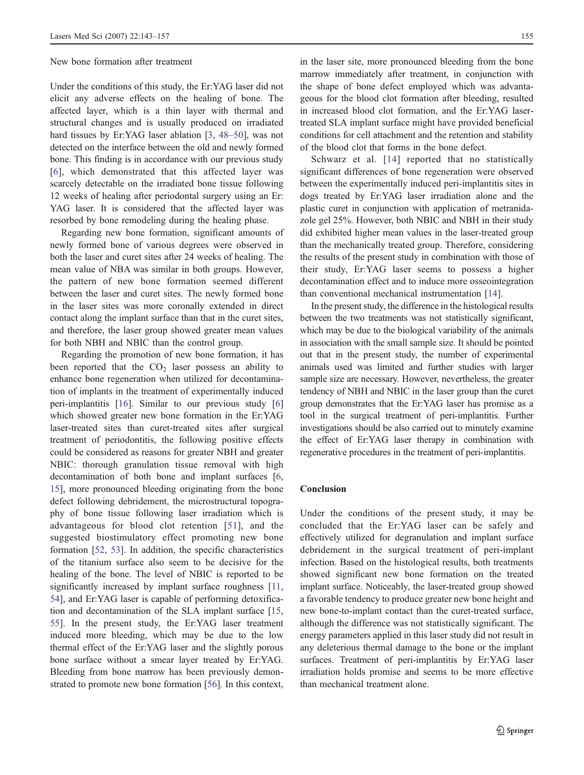#### New bone formation after treatment

Under the conditions of this study, the Er:YAG laser did not elicit any adverse effects on the healing of bone. The affected layer, which is a thin layer with thermal and structural changes and is usually produced on irradiated hard tissues by Er:YAG laser ablation [\[3](#page-13-0), [48](#page-14-0)–[50](#page-14-0)], was not detected on the interface between the old and newly formed bone. This finding is in accordance with our previous study [\[6\]](#page-13-0), which demonstrated that this affected layer was scarcely detectable on the irradiated bone tissue following 12 weeks of healing after periodontal surgery using an Er: YAG laser. It is considered that the affected layer was resorbed by bone remodeling during the healing phase.

Regarding new bone formation, significant amounts of newly formed bone of various degrees were observed in both the laser and curet sites after 24 weeks of healing. The mean value of NBA was similar in both groups. However, the pattern of new bone formation seemed different between the laser and curet sites. The newly formed bone in the laser sites was more coronally extended in direct contact along the implant surface than that in the curet sites, and therefore, the laser group showed greater mean values for both NBH and NBIC than the control group.

Regarding the promotion of new bone formation, it has been reported that the  $CO<sub>2</sub>$  laser possess an ability to enhance bone regeneration when utilized for decontamination of implants in the treatment of experimentally induced peri-implantitis [[16\]](#page-13-0). Similar to our previous study [[6\]](#page-13-0) which showed greater new bone formation in the Er:YAG laser-treated sites than curet-treated sites after surgical treatment of periodontitis, the following positive effects could be considered as reasons for greater NBH and greater NBIC: thorough granulation tissue removal with high decontamination of both bone and implant surfaces [[6,](#page-13-0) [15](#page-13-0)], more pronounced bleeding originating from the bone defect following debridement, the microstructural topography of bone tissue following laser irradiation which is advantageous for blood clot retention [[51](#page-14-0)], and the suggested biostimulatory effect promoting new bone formation [[52,](#page-14-0) [53\]](#page-14-0). In addition, the specific characteristics of the titanium surface also seem to be decisive for the healing of the bone. The level of NBIC is reported to be significantly increased by implant surface roughness [[11,](#page-13-0) [54](#page-14-0)], and Er:YAG laser is capable of performing detoxification and decontamination of the SLA implant surface [[15,](#page-13-0) [55](#page-14-0)]. In the present study, the Er:YAG laser treatment induced more bleeding, which may be due to the low thermal effect of the Er:YAG laser and the slightly porous bone surface without a smear layer treated by Er:YAG. Bleeding from bone marrow has been previously demonstrated to promote new bone formation [[56](#page-14-0)]. In this context,

in the laser site, more pronounced bleeding from the bone marrow immediately after treatment, in conjunction with the shape of bone defect employed which was advantageous for the blood clot formation after bleeding, resulted in increased blood clot formation, and the Er:YAG lasertreated SLA implant surface might have provided beneficial conditions for cell attachment and the retention and stability of the blood clot that forms in the bone defect.

Schwarz et al. [[14](#page-13-0)] reported that no statistically significant differences of bone regeneration were observed between the experimentally induced peri-implantitis sites in dogs treated by Er:YAG laser irradiation alone and the plastic curet in conjunction with application of metranidazole gel 25%. However, both NBIC and NBH in their study did exhibited higher mean values in the laser-treated group than the mechanically treated group. Therefore, considering the results of the present study in combination with those of their study, Er:YAG laser seems to possess a higher decontamination effect and to induce more osseointegration than conventional mechanical instrumentation [[14\]](#page-13-0).

In the present study, the difference in the histological results between the two treatments was not statistically significant, which may be due to the biological variability of the animals in association with the small sample size. It should be pointed out that in the present study, the number of experimental animals used was limited and further studies with larger sample size are necessary. However, nevertheless, the greater tendency of NBH and NBIC in the laser group than the curet group demonstrates that the Er:YAG laser has promise as a tool in the surgical treatment of peri-implantitis. Further investigations should be also carried out to minutely examine the effect of Er:YAG laser therapy in combination with regenerative procedures in the treatment of peri-implantitis.

# Conclusion

Under the conditions of the present study, it may be concluded that the Er:YAG laser can be safely and effectively utilized for degranulation and implant surface debridement in the surgical treatment of peri-implant infection. Based on the histological results, both treatments showed significant new bone formation on the treated implant surface. Noticeably, the laser-treated group showed a favorable tendency to produce greater new bone height and new bone-to-implant contact than the curet-treated surface, although the difference was not statistically significant. The energy parameters applied in this laser study did not result in any deleterious thermal damage to the bone or the implant surfaces. Treatment of peri-implantitis by Er:YAG laser irradiation holds promise and seems to be more effective than mechanical treatment alone.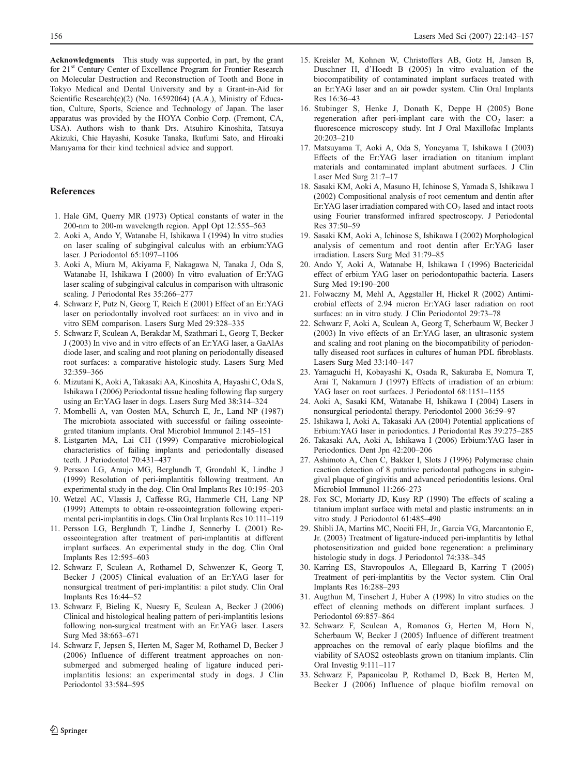<span id="page-13-0"></span>Acknowledgments This study was supported, in part, by the grant for 21<sup>st</sup> Century Center of Excellence Program for Frontier Research on Molecular Destruction and Reconstruction of Tooth and Bone in Tokyo Medical and Dental University and by a Grant-in-Aid for Scientific Research(c)(2) (No. 16592064) (A.A.), Ministry of Education, Culture, Sports, Science and Technology of Japan. The laser apparatus was provided by the HOYA Conbio Corp. (Fremont, CA, USA). Authors wish to thank Drs. Atsuhiro Kinoshita, Tatsuya Akizuki, Chie Hayashi, Kosuke Tanaka, Ikufumi Sato, and Hiroaki Maruyama for their kind technical advice and support.

# References

- 1. Hale GM, Querry MR (1973) Optical constants of water in the 200-nm to 200-m wavelength region. Appl Opt 12:555–563
- 2. Aoki A, Ando Y, Watanabe H, Ishikawa I (1994) In vitro studies on laser scaling of subgingival calculus with an erbium:YAG laser. J Periodontol 65:1097–1106
- 3. Aoki A, Miura M, Akiyama F, Nakagawa N, Tanaka J, Oda S, Watanabe H, Ishikawa I (2000) In vitro evaluation of Er:YAG laser scaling of subgingival calculus in comparison with ultrasonic scaling. J Periodontal Res 35:266–277
- 4. Schwarz F, Putz N, Georg T, Reich E (2001) Effect of an Er:YAG laser on periodontally involved root surfaces: an in vivo and in vitro SEM comparison. Lasers Surg Med 29:328–335
- 5. Schwarz F, Sculean A, Berakdar M, Szathmari L, Georg T, Becker J (2003) In vivo and in vitro effects of an Er:YAG laser, a GaAlAs diode laser, and scaling and root planing on periodontally diseased root surfaces: a comparative histologic study. Lasers Surg Med 32:359–366
- 6. Mizutani K, Aoki A, Takasaki AA, Kinoshita A, Hayashi C, Oda S, Ishikawa I (2006) Periodontal tissue healing following flap surgery using an Er:YAG laser in dogs. Lasers Surg Med 38:314–324
- 7. Mombelli A, van Oosten MA, Schurch E, Jr., Land NP (1987) The microbiota associated with successful or failing osseointegrated titanium implants. Oral Microbiol Immunol 2:145–151
- 8. Listgarten MA, Lai CH (1999) Comparative microbiological characteristics of failing implants and periodontally diseased teeth. J Periodontol 70:431–437
- 9. Persson LG, Araujo MG, Berglundh T, Grondahl K, Lindhe J (1999) Resolution of peri-implantitis following treatment. An experimental study in the dog. Clin Oral Implants Res 10:195–203
- 10. Wetzel AC, Vlassis J, Caffesse RG, Hammerle CH, Lang NP (1999) Attempts to obtain re-osseointegration following experimental peri-implantitis in dogs. Clin Oral Implants Res 10:111–119
- 11. Persson LG, Berglundh T, Lindhe J, Sennerby L (2001) Reosseointegration after treatment of peri-implantitis at different implant surfaces. An experimental study in the dog. Clin Oral Implants Res 12:595–603
- 12. Schwarz F, Sculean A, Rothamel D, Schwenzer K, Georg T, Becker J (2005) Clinical evaluation of an Er:YAG laser for nonsurgical treatment of peri-implantitis: a pilot study. Clin Oral Implants Res 16:44–52
- 13. Schwarz F, Bieling K, Nuesry E, Sculean A, Becker J (2006) Clinical and histological healing pattern of peri-implantitis lesions following non-surgical treatment with an Er:YAG laser. Lasers Surg Med 38:663–671
- 14. Schwarz F, Jepsen S, Herten M, Sager M, Rothamel D, Becker J (2006) Influence of different treatment approaches on nonsubmerged and submerged healing of ligature induced periimplantitis lesions: an experimental study in dogs. J Clin Periodontol 33:584–595
- 15. Kreisler M, Kohnen W, Christoffers AB, Gotz H, Jansen B, Duschner H, d'Hoedt B (2005) In vitro evaluation of the biocompatibility of contaminated implant surfaces treated with an Er:YAG laser and an air powder system. Clin Oral Implants Res 16:36–43
- 16. Stubinger S, Henke J, Donath K, Deppe H (2005) Bone regeneration after peri-implant care with the  $CO<sub>2</sub>$  laser: a fluorescence microscopy study. Int J Oral Maxillofac Implants 20:203–210
- 17. Matsuyama T, Aoki A, Oda S, Yoneyama T, Ishikawa I (2003) Effects of the Er:YAG laser irradiation on titanium implant materials and contaminated implant abutment surfaces. J Clin Laser Med Surg 21:7–17
- 18. Sasaki KM, Aoki A, Masuno H, Ichinose S, Yamada S, Ishikawa I (2002) Compositional analysis of root cementum and dentin after Er:YAG laser irradiation compared with  $CO<sub>2</sub>$  lased and intact roots using Fourier transformed infrared spectroscopy. J Periodontal Res 37:50–59
- 19. Sasaki KM, Aoki A, Ichinose S, Ishikawa I (2002) Morphological analysis of cementum and root dentin after Er:YAG laser irradiation. Lasers Surg Med 31:79–85
- 20. Ando Y, Aoki A, Watanabe H, Ishikawa I (1996) Bactericidal effect of erbium YAG laser on periodontopathic bacteria. Lasers Surg Med 19:190–200
- 21. Folwaczny M, Mehl A, Aggstaller H, Hickel R (2002) Antimicrobial effects of 2.94 micron Er:YAG laser radiation on root surfaces: an in vitro study. J Clin Periodontol 29:73–78
- 22. Schwarz F, Aoki A, Sculean A, Georg T, Scherbaum W, Becker J (2003) In vivo effects of an Er:YAG laser, an ultrasonic system and scaling and root planing on the biocompatibility of periodontally diseased root surfaces in cultures of human PDL fibroblasts. Lasers Surg Med 33:140–147
- 23. Yamaguchi H, Kobayashi K, Osada R, Sakuraba E, Nomura T, Arai T, Nakamura J (1997) Effects of irradiation of an erbium: YAG laser on root surfaces. J Periodontol 68:1151–1155
- 24. Aoki A, Sasaki KM, Watanabe H, Ishikawa I (2004) Lasers in nonsurgical periodontal therapy. Periodontol 2000 36:59–97
- 25. Ishikawa I, Aoki A, Takasaki AA (2004) Potential applications of Erbium:YAG laser in periodontics. J Periodontal Res 39:275–285
- 26. Takasaki AA, Aoki A, Ishikawa I (2006) Erbium:YAG laser in Periodontics. Dent Jpn 42:200–206
- 27. Ashimoto A, Chen C, Bakker I, Slots J (1996) Polymerase chain reaction detection of 8 putative periodontal pathogens in subgingival plaque of gingivitis and advanced periodontitis lesions. Oral Microbiol Immunol 11:266–273
- 28. Fox SC, Moriarty JD, Kusy RP (1990) The effects of scaling a titanium implant surface with metal and plastic instruments: an in vitro study. J Periodontol 61:485–490
- 29. Shibli JA, Martins MC, Nociti FH, Jr., Garcia VG, Marcantonio E, Jr. (2003) Treatment of ligature-induced peri-implantitis by lethal photosensitization and guided bone regeneration: a preliminary histologic study in dogs. J Periodontol 74:338–345
- 30. Karring ES, Stavropoulos A, Ellegaard B, Karring T (2005) Treatment of peri-implantitis by the Vector system. Clin Oral Implants Res 16:288–293
- 31. Augthun M, Tinschert J, Huber A (1998) In vitro studies on the effect of cleaning methods on different implant surfaces. J Periodontol 69:857–864
- 32. Schwarz F, Sculean A, Romanos G, Herten M, Horn N, Scherbaum W, Becker J (2005) Influence of different treatment approaches on the removal of early plaque biofilms and the viability of SAOS2 osteoblasts grown on titanium implants. Clin Oral Investig 9:111–117
- 33. Schwarz F, Papanicolau P, Rothamel D, Beck B, Herten M, Becker J (2006) Influence of plaque biofilm removal on